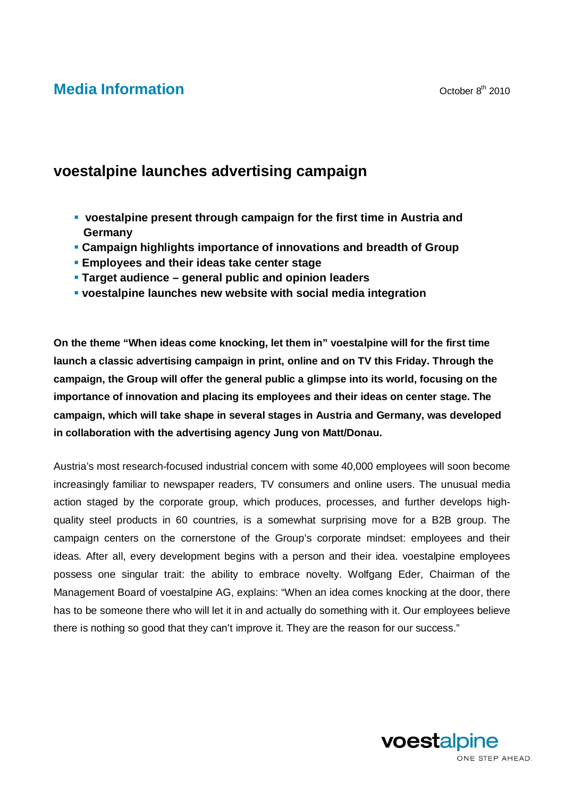## **Media Information Media** Information

## **voestalpine launches advertising campaign**

- **voestalpine present through campaign for the first time in Austria and Germany**
- **Campaign highlights importance of innovations and breadth of Group**
- **Employees and their ideas take center stage**
- **Target audience general public and opinion leaders**
- **voestalpine launches new website with social media integration**

**On the theme "When ideas come knocking, let them in" voestalpine will for the first time launch a classic advertising campaign in print, online and on TV this Friday. Through the campaign, the Group will offer the general public a glimpse into its world, focusing on the importance of innovation and placing its employees and their ideas on center stage. The campaign, which will take shape in several stages in Austria and Germany, was developed in collaboration with the advertising agency Jung von Matt/Donau.** 

Austria's most research-focused industrial concern with some 40,000 employees will soon become increasingly familiar to newspaper readers, TV consumers and online users. The unusual media action staged by the corporate group, which produces, processes, and further develops highquality steel products in 60 countries, is a somewhat surprising move for a B2B group. The campaign centers on the cornerstone of the Group's corporate mindset: employees and their ideas. After all, every development begins with a person and their idea. voestalpine employees possess one singular trait: the ability to embrace novelty. Wolfgang Eder, Chairman of the Management Board of voestalpine AG, explains: "When an idea comes knocking at the door, there has to be someone there who will let it in and actually do something with it. Our employees believe there is nothing so good that they can't improve it. They are the reason for our success."

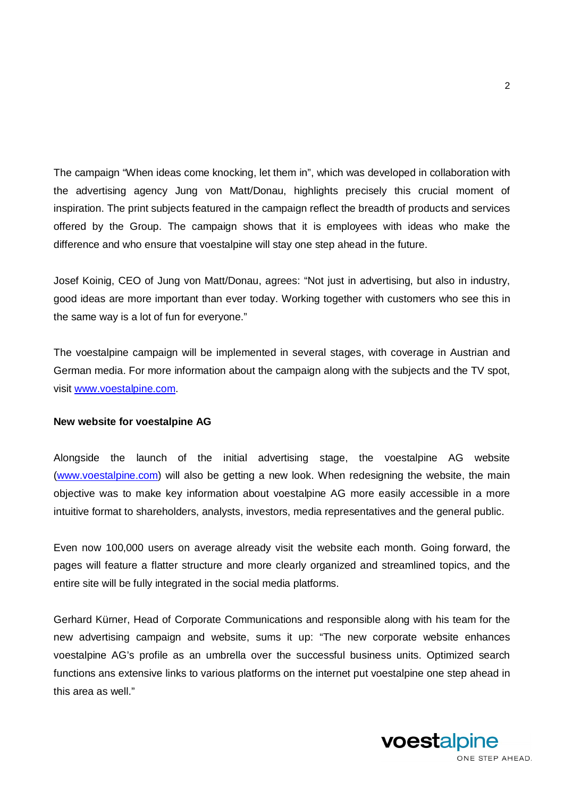The campaign "When ideas come knocking, let them in", which was developed in collaboration with the advertising agency Jung von Matt/Donau, highlights precisely this crucial moment of inspiration. The print subjects featured in the campaign reflect the breadth of products and services offered by the Group. The campaign shows that it is employees with ideas who make the difference and who ensure that voestalpine will stay one step ahead in the future.

Josef Koinig, CEO of Jung von Matt/Donau, agrees: "Not just in advertising, but also in industry, good ideas are more important than ever today. Working together with customers who see this in the same way is a lot of fun for everyone."

The voestalpine campaign will be implemented in several stages, with coverage in Austrian and German media. For more information about the campaign along with the subjects and the TV spot, visit www.voestalpine.com.

## **New website for voestalpine AG**

Alongside the launch of the initial advertising stage, the voestalpine AG website (www.voestalpine.com) will also be getting a new look. When redesigning the website, the main objective was to make key information about voestalpine AG more easily accessible in a more intuitive format to shareholders, analysts, investors, media representatives and the general public.

Even now 100,000 users on average already visit the website each month. Going forward, the pages will feature a flatter structure and more clearly organized and streamlined topics, and the entire site will be fully integrated in the social media platforms.

Gerhard Kürner, Head of Corporate Communications and responsible along with his team for the new advertising campaign and website, sums it up: "The new corporate website enhances voestalpine AG's profile as an umbrella over the successful business units. Optimized search functions ans extensive links to various platforms on the internet put voestalpine one step ahead in this area as well."